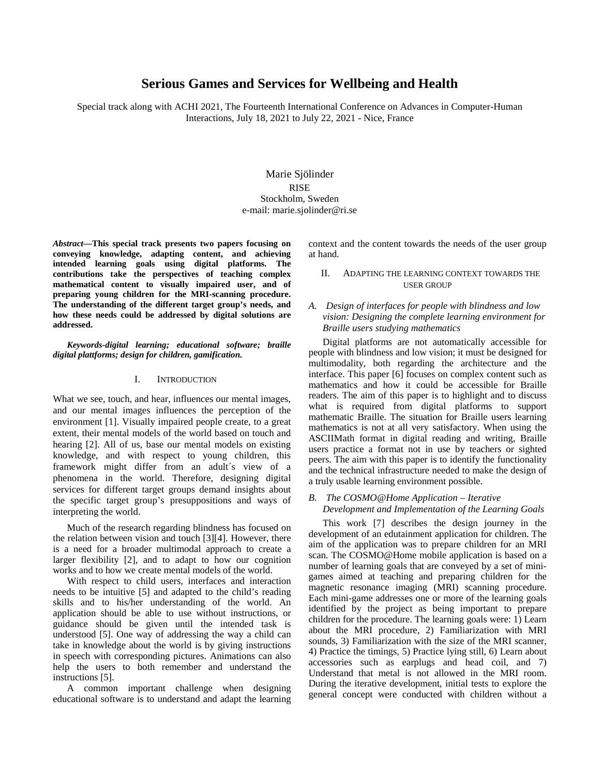# **Serious Games and Services for Wellbeing and Health**

Special track along with ACHI 2021, The Fourteenth International Conference on Advances in Computer-Human Interactions, July 18, 2021 to July 22, 2021 - Nice, France

> Marie Sjölinder RISE Stockholm, Sweden e-mail: marie.sjolinder@ri.se

*Abstract***—This special track presents two papers focusing on conveying knowledge, adapting content, and achieving intended learning goals using digital platforms. The contributions take the perspectives of teaching complex mathematical content to visually impaired user, and of preparing young children for the MRI-scanning procedure. The understanding of the different target group's needs, and how these needs could be addressed by digital solutions are addressed.**

*Keywords-digital learning; educational software; braille digital plattforms; design for children, gamification.*

### I. INTRODUCTION

What we see, touch, and hear, influences our mental images, and our mental images influences the perception of the environment [1]. Visually impaired people create, to a great extent, their mental models of the world based on touch and hearing [2]. All of us, base our mental models on existing knowledge, and with respect to young children, this framework might differ from an adult´s view of a phenomena in the world. Therefore, designing digital services for different target groups demand insights about the specific target group's presuppositions and ways of interpreting the world.

Much of the research regarding blindness has focused on the relation between vision and touch [3][4]. However, there is a need for a broader multimodal approach to create a larger flexibility [2], and to adapt to how our cognition works and to how we create mental models of the world.

With respect to child users, interfaces and interaction needs to be intuitive [5] and adapted to the child's reading skills and to his/her understanding of the world. An application should be able to use without instructions, or guidance should be given until the intended task is understood [5]. One way of addressing the way a child can take in knowledge about the world is by giving instructions in speech with corresponding pictures. Animations can also help the users to both remember and understand the instructions [5].

A common important challenge when designing educational software is to understand and adapt the learning context and the content towards the needs of the user group at hand.

## II. ADAPTING THE LEARNING CONTEXT TOWARDS THE USER GROUP

### *A. Design of interfaces for people with blindness and low vision: Designing the complete learning environment for Braille users studying mathematics*

Digital platforms are not automatically accessible for people with blindness and low vision; it must be designed for multimodality, both regarding the architecture and the interface. This paper [6] focuses on complex content such as mathematics and how it could be accessible for Braille readers. The aim of this paper is to highlight and to discuss what is required from digital platforms to support mathematic Braille. The situation for Braille users learning mathematics is not at all very satisfactory. When using the ASCIIMath format in digital reading and writing, Braille users practice a format not in use by teachers or sighted peers. The aim with this paper is to identify the functionality and the technical infrastructure needed to make the design of a truly usable learning environment possible.

#### *B. The COSMO@Home Application – Iterative Development and Implementation of the Learning Goals*

This work [7] describes the design journey in the development of an edutainment application for children. The aim of the application was to prepare children for an MRI scan. The COSMO@Home mobile application is based on a number of learning goals that are conveyed by a set of minigames aimed at teaching and preparing children for the magnetic resonance imaging (MRI) scanning procedure. Each mini-game addresses one or more of the learning goals identified by the project as being important to prepare children for the procedure. The learning goals were: 1) Learn about the MRI procedure, 2) Familiarization with MRI sounds, 3) Familiarization with the size of the MRI scanner, 4) Practice the timings, 5) Practice lying still, 6) Learn about accessories such as earplugs and head coil, and 7) Understand that metal is not allowed in the MRI room. During the iterative development, initial tests to explore the general concept were conducted with children without a